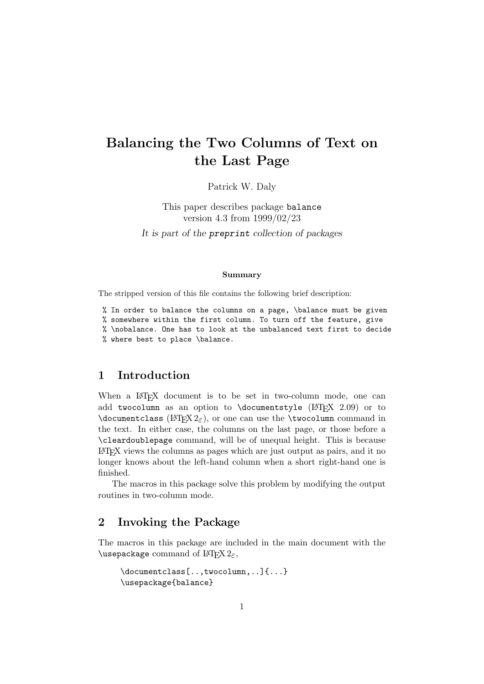# Balancing the Two Columns of Text on the Last Page

Patrick W. Daly

This paper describes package balance version 4.3 from 1999/02/23 It is part of the preprint collection of packages

#### Summary

The stripped version of this file contains the following brief description:

% In order to balance the columns on a page, \balance must be given % somewhere within the first column. To turn off the feature, give % \nobalance. One has to look at the unbalanced text first to decide % where best to place \balance.

### 1 Introduction

When a LAT<sub>EX</sub> document is to be set in two-column mode, one can add twocolumn as an option to  $\doteq$  documentstyle (LATEX 2.09) or to  $\dot{\text{down}}$  (LATEX 2<sub> $\epsilon$ </sub>), or one can use the  $\text{twocolumn command}$  in the text. In either case, the columns on the last page, or those before a \cleardoublepage command, will be of unequal height. This is because LATEX views the columns as pages which are just output as pairs, and it no longer knows about the left-hand column when a short right-hand one is finished.

The macros in this package solve this problem by modifying the output routines in two-column mode.

#### 2 Invoking the Package

The macros in this package are included in the main document with the \usepackage command of  $\operatorname{HTFX2}_{\epsilon}$ ,

```
\documentclass[..,twocolumn,..]{...}
\usepackage{balance}
```